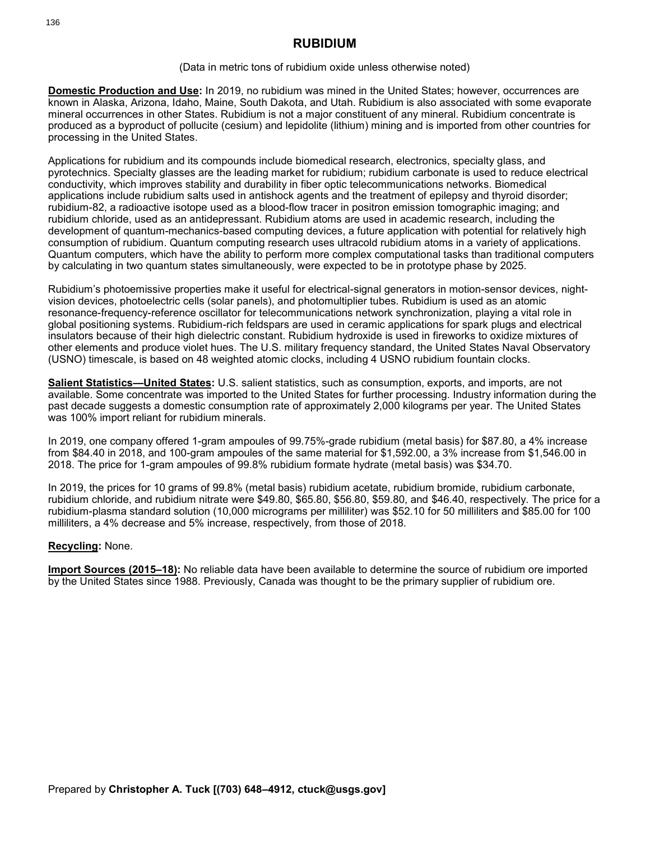# **RUBIDIUM**

### (Data in metric tons of rubidium oxide unless otherwise noted)

**Domestic Production and Use:** In 2019, no rubidium was mined in the United States; however, occurrences are known in Alaska, Arizona, Idaho, Maine, South Dakota, and Utah. Rubidium is also associated with some evaporate mineral occurrences in other States. Rubidium is not a major constituent of any mineral. Rubidium concentrate is produced as a byproduct of pollucite (cesium) and lepidolite (lithium) mining and is imported from other countries for processing in the United States.

Applications for rubidium and its compounds include biomedical research, electronics, specialty glass, and pyrotechnics. Specialty glasses are the leading market for rubidium; rubidium carbonate is used to reduce electrical conductivity, which improves stability and durability in fiber optic telecommunications networks. Biomedical applications include rubidium salts used in antishock agents and the treatment of epilepsy and thyroid disorder; rubidium-82, a radioactive isotope used as a blood-flow tracer in positron emission tomographic imaging; and rubidium chloride, used as an antidepressant. Rubidium atoms are used in academic research, including the development of quantum-mechanics-based computing devices, a future application with potential for relatively high consumption of rubidium. Quantum computing research uses ultracold rubidium atoms in a variety of applications. Quantum computers, which have the ability to perform more complex computational tasks than traditional computers by calculating in two quantum states simultaneously, were expected to be in prototype phase by 2025.

Rubidium's photoemissive properties make it useful for electrical-signal generators in motion-sensor devices, nightvision devices, photoelectric cells (solar panels), and photomultiplier tubes. Rubidium is used as an atomic resonance-frequency-reference oscillator for telecommunications network synchronization, playing a vital role in global positioning systems. Rubidium-rich feldspars are used in ceramic applications for spark plugs and electrical insulators because of their high dielectric constant. Rubidium hydroxide is used in fireworks to oxidize mixtures of other elements and produce violet hues. The U.S. military frequency standard, the United States Naval Observatory (USNO) timescale, is based on 48 weighted atomic clocks, including 4 USNO rubidium fountain clocks.

**Salient Statistics—United States:** U.S. salient statistics, such as consumption, exports, and imports, are not available. Some concentrate was imported to the United States for further processing. Industry information during the past decade suggests a domestic consumption rate of approximately 2,000 kilograms per year. The United States was 100% import reliant for rubidium minerals.

In 2019, one company offered 1-gram ampoules of 99.75%-grade rubidium (metal basis) for \$87.80, a 4% increase from \$84.40 in 2018, and 100-gram ampoules of the same material for \$1,592.00, a 3% increase from \$1,546.00 in 2018. The price for 1-gram ampoules of 99.8% rubidium formate hydrate (metal basis) was \$34.70.

In 2019, the prices for 10 grams of 99.8% (metal basis) rubidium acetate, rubidium bromide, rubidium carbonate, rubidium chloride, and rubidium nitrate were \$49.80, \$65.80, \$56.80, \$59.80, and \$46.40, respectively. The price for a rubidium-plasma standard solution (10,000 micrograms per milliliter) was \$52.10 for 50 milliliters and \$85.00 for 100 milliliters, a 4% decrease and 5% increase, respectively, from those of 2018.

### **Recycling:** None.

**Import Sources (2015–18):** No reliable data have been available to determine the source of rubidium ore imported by the United States since 1988. Previously, Canada was thought to be the primary supplier of rubidium ore.